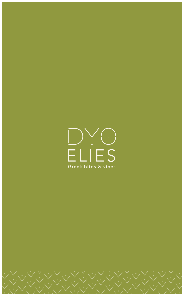